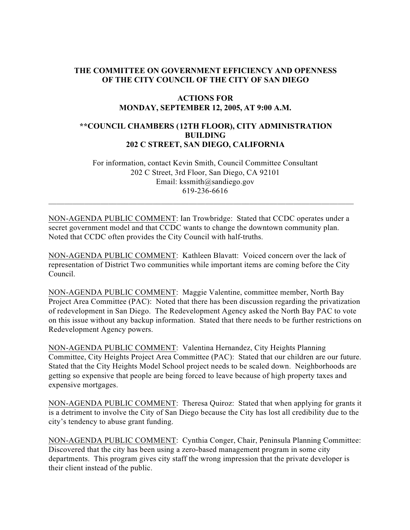# **THE COMMITTEE ON GOVERNMENT EFFICIENCY AND OPENNESS OF THE CITY COUNCIL OF THE CITY OF SAN DIEGO**

### **ACTIONS FOR MONDAY, SEPTEMBER 12, 2005, AT 9:00 A.M.**

# **\*\*COUNCIL CHAMBERS (12TH FLOOR), CITY ADMINISTRATION BUILDING 202 C STREET, SAN DIEGO, CALIFORNIA**

 For information, contact Kevin Smith, Council Committee Consultant 202 C Street, 3rd Floor, San Diego, CA 92101 Email: kssmith@sandiego.gov 619-236-6616

NON-AGENDA PUBLIC COMMENT: Ian Trowbridge: Stated that CCDC operates under a secret government model and that CCDC wants to change the downtown community plan. Noted that CCDC often provides the City Council with half-truths.

 $\_$  , and the set of the set of the set of the set of the set of the set of the set of the set of the set of the set of the set of the set of the set of the set of the set of the set of the set of the set of the set of th

NON-AGENDA PUBLIC COMMENT: Kathleen Blavatt: Voiced concern over the lack of representation of District Two communities while important items are coming before the City Council.

NON-AGENDA PUBLIC COMMENT: Maggie Valentine, committee member, North Bay Project Area Committee (PAC): Noted that there has been discussion regarding the privatization of redevelopment in San Diego. The Redevelopment Agency asked the North Bay PAC to vote on this issue without any backup information. Stated that there needs to be further restrictions on Redevelopment Agency powers.

NON-AGENDA PUBLIC COMMENT: Valentina Hernandez, City Heights Planning Committee, City Heights Project Area Committee (PAC): Stated that our children are our future. Stated that the City Heights Model School project needs to be scaled down. Neighborhoods are getting so expensive that people are being forced to leave because of high property taxes and expensive mortgages.

NON-AGENDA PUBLIC COMMENT: Theresa Quiroz: Stated that when applying for grants it is a detriment to involve the City of San Diego because the City has lost all credibility due to the city's tendency to abuse grant funding.

NON-AGENDA PUBLIC COMMENT: Cynthia Conger, Chair, Peninsula Planning Committee: Discovered that the city has been using a zero-based management program in some city departments. This program gives city staff the wrong impression that the private developer is their client instead of the public.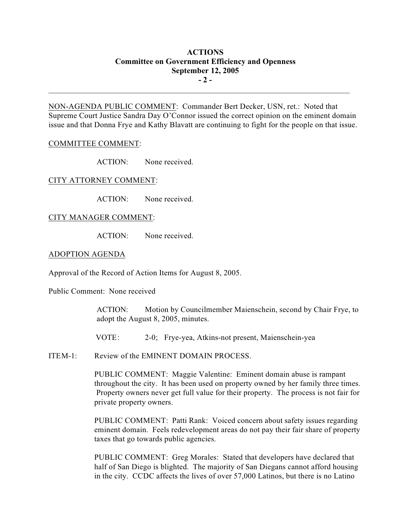# **ACTIONS Committee on Government Efficiency and Openness September 12, 2005 - 2 -**

NON-AGENDA PUBLIC COMMENT: Commander Bert Decker, USN, ret.: Noted that Supreme Court Justice Sandra Day O'Connor issued the correct opinion on the eminent domain issue and that Donna Frye and Kathy Blavatt are continuing to fight for the people on that issue.

 $\mathcal{L}_\text{max}$ 

### COMMITTEE COMMENT:

ACTION: None received.

CITY ATTORNEY COMMENT:

ACTION: None received.

### CITY MANAGER COMMENT:

ACTION: None received.

#### ADOPTION AGENDA

Approval of the Record of Action Items for August 8, 2005.

Public Comment: None received

ACTION: Motion by Councilmember Maienschein, second by Chair Frye, to adopt the August 8, 2005, minutes.

VOTE: 2-0; Frye-yea, Atkins-not present, Maienschein-yea

ITEM-1: Review of the EMINENT DOMAIN PROCESS.

PUBLIC COMMENT: Maggie Valentine: Eminent domain abuse is rampant throughout the city. It has been used on property owned by her family three times. Property owners never get full value for their property. The process is not fair for private property owners.

PUBLIC COMMENT: Patti Rank: Voiced concern about safety issues regarding eminent domain. Feels redevelopment areas do not pay their fair share of property taxes that go towards public agencies.

PUBLIC COMMENT: Greg Morales: Stated that developers have declared that half of San Diego is blighted. The majority of San Diegans cannot afford housing in the city. CCDC affects the lives of over 57,000 Latinos, but there is no Latino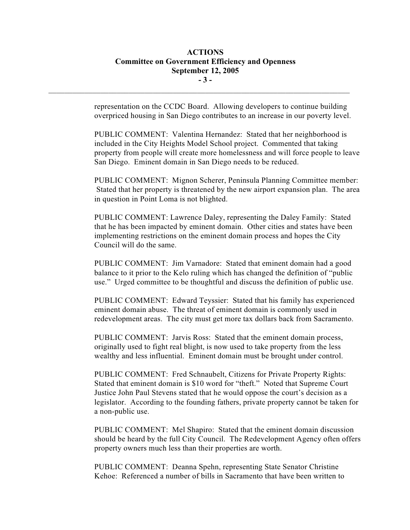# **ACTIONS Committee on Government Efficiency and Openness September 12, 2005 - 3 -**

 $\mathcal{L}_\text{max}$ 

representation on the CCDC Board. Allowing developers to continue building overpriced housing in San Diego contributes to an increase in our poverty level.

PUBLIC COMMENT: Valentina Hernandez: Stated that her neighborhood is included in the City Heights Model School project. Commented that taking property from people will create more homelessness and will force people to leave San Diego. Eminent domain in San Diego needs to be reduced.

PUBLIC COMMENT: Mignon Scherer, Peninsula Planning Committee member: Stated that her property is threatened by the new airport expansion plan. The area in question in Point Loma is not blighted.

PUBLIC COMMENT: Lawrence Daley, representing the Daley Family: Stated that he has been impacted by eminent domain. Other cities and states have been implementing restrictions on the eminent domain process and hopes the City Council will do the same.

PUBLIC COMMENT: Jim Varnadore: Stated that eminent domain had a good balance to it prior to the Kelo ruling which has changed the definition of "public use." Urged committee to be thoughtful and discuss the definition of public use.

PUBLIC COMMENT: Edward Teyssier: Stated that his family has experienced eminent domain abuse. The threat of eminent domain is commonly used in redevelopment areas. The city must get more tax dollars back from Sacramento.

PUBLIC COMMENT: Jarvis Ross: Stated that the eminent domain process, originally used to fight real blight, is now used to take property from the less wealthy and less influential. Eminent domain must be brought under control.

PUBLIC COMMENT: Fred Schnaubelt, Citizens for Private Property Rights: Stated that eminent domain is \$10 word for "theft." Noted that Supreme Court Justice John Paul Stevens stated that he would oppose the court's decision as a legislator. According to the founding fathers, private property cannot be taken for a non-public use.

PUBLIC COMMENT: Mel Shapiro: Stated that the eminent domain discussion should be heard by the full City Council. The Redevelopment Agency often offers property owners much less than their properties are worth.

PUBLIC COMMENT: Deanna Spehn, representing State Senator Christine Kehoe: Referenced a number of bills in Sacramento that have been written to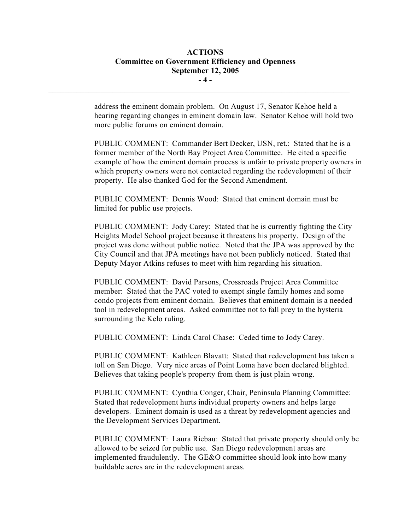# **ACTIONS Committee on Government Efficiency and Openness September 12, 2005 - 4 -**

 $\mathcal{L}_\text{max}$ 

address the eminent domain problem. On August 17, Senator Kehoe held a hearing regarding changes in eminent domain law. Senator Kehoe will hold two more public forums on eminent domain.

PUBLIC COMMENT: Commander Bert Decker, USN, ret.: Stated that he is a former member of the North Bay Project Area Committee. He cited a specific example of how the eminent domain process is unfair to private property owners in which property owners were not contacted regarding the redevelopment of their property. He also thanked God for the Second Amendment.

PUBLIC COMMENT: Dennis Wood: Stated that eminent domain must be limited for public use projects.

PUBLIC COMMENT: Jody Carey: Stated that he is currently fighting the City Heights Model School project because it threatens his property. Design of the project was done without public notice. Noted that the JPA was approved by the City Council and that JPA meetings have not been publicly noticed. Stated that Deputy Mayor Atkins refuses to meet with him regarding his situation.

PUBLIC COMMENT: David Parsons, Crossroads Project Area Committee member: Stated that the PAC voted to exempt single family homes and some condo projects from eminent domain. Believes that eminent domain is a needed tool in redevelopment areas. Asked committee not to fall prey to the hysteria surrounding the Kelo ruling.

PUBLIC COMMENT: Linda Carol Chase: Ceded time to Jody Carey.

PUBLIC COMMENT: Kathleen Blavatt: Stated that redevelopment has taken a toll on San Diego. Very nice areas of Point Loma have been declared blighted. Believes that taking people's property from them is just plain wrong.

PUBLIC COMMENT: Cynthia Conger, Chair, Peninsula Planning Committee: Stated that redevelopment hurts individual property owners and helps large developers. Eminent domain is used as a threat by redevelopment agencies and the Development Services Department.

PUBLIC COMMENT: Laura Riebau: Stated that private property should only be allowed to be seized for public use. San Diego redevelopment areas are implemented fraudulently. The GE&O committee should look into how many buildable acres are in the redevelopment areas.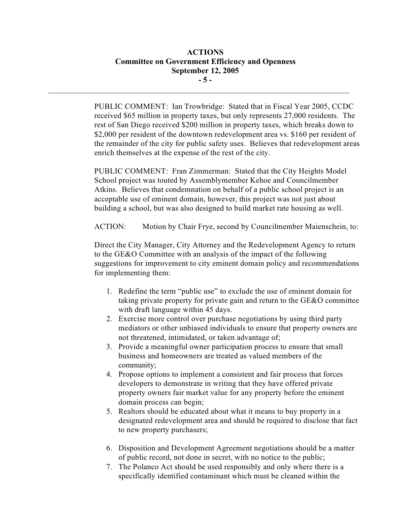# **ACTIONS Committee on Government Efficiency and Openness September 12, 2005 - 5 -**

 $\mathcal{L}_\text{max}$ 

PUBLIC COMMENT: Ian Trowbridge: Stated that in Fiscal Year 2005, CCDC received \$65 million in property taxes, but only represents 27,000 residents. The rest of San Diego received \$200 million in property taxes, which breaks down to \$2,000 per resident of the downtown redevelopment area vs. \$160 per resident of the remainder of the city for public safety uses. Believes that redevelopment areas enrich themselves at the expense of the rest of the city.

PUBLIC COMMENT: Fran Zimmerman: Stated that the City Heights Model School project was touted by Assemblymember Kehoe and Councilmember Atkins. Believes that condemnation on behalf of a public school project is an acceptable use of eminent domain, however, this project was not just about building a school, but was also designed to build market rate housing as well.

ACTION: Motion by Chair Frye, second by Councilmember Maienschein, to:

Direct the City Manager, City Attorney and the Redevelopment Agency to return to the GE&O Committee with an analysis of the impact of the following suggestions for improvement to city eminent domain policy and recommendations for implementing them:

- 1. Redefine the term "public use" to exclude the use of eminent domain for taking private property for private gain and return to the GE&O committee with draft language within 45 days.
- 2. Exercise more control over purchase negotiations by using third party mediators or other unbiased individuals to ensure that property owners are not threatened, intimidated, or taken advantage of;
- 3. Provide a meaningful owner participation process to ensure that small business and homeowners are treated as valued members of the community;
- 4. Propose options to implement a consistent and fair process that forces developers to demonstrate in writing that they have offered private property owners fair market value for any property before the eminent domain process can begin;
- 5. Realtors should be educated about what it means to buy property in a designated redevelopment area and should be required to disclose that fact to new property purchasers;
- 6. Disposition and Development Agreement negotiations should be a matter of public record, not done in secret, with no notice to the public;
- 7. The Polanco Act should be used responsibly and only where there is a specifically identified contaminant which must be cleaned within the